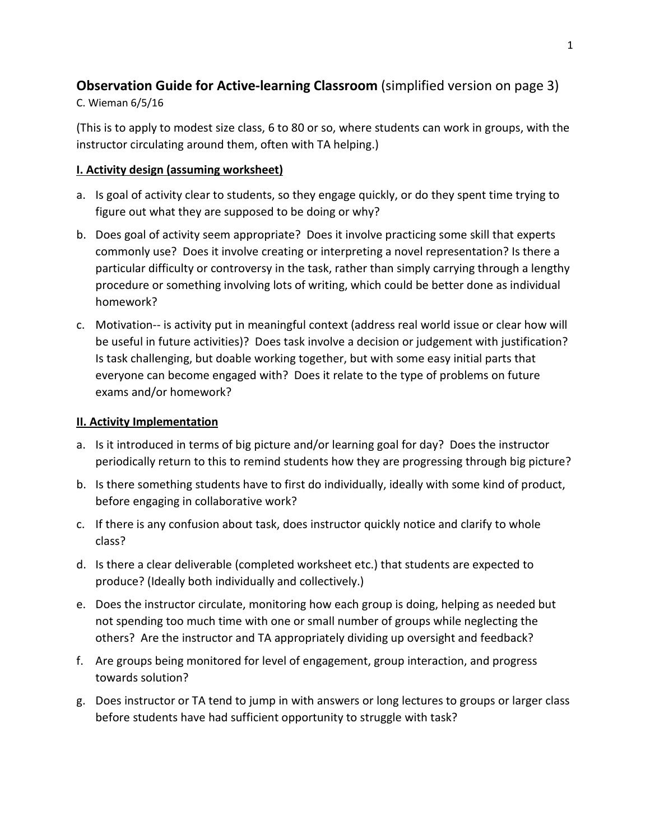# **Observation Guide for Active-learning Classroom** (simplified version on page 3)

#### C. Wieman 6/5/16

(This is to apply to modest size class, 6 to 80 or so, where students can work in groups, with the instructor circulating around them, often with TA helping.)

## **I. Activity design (assuming worksheet)**

- a. Is goal of activity clear to students, so they engage quickly, or do they spent time trying to figure out what they are supposed to be doing or why?
- b. Does goal of activity seem appropriate? Does it involve practicing some skill that experts commonly use? Does it involve creating or interpreting a novel representation? Is there a particular difficulty or controversy in the task, rather than simply carrying through a lengthy procedure or something involving lots of writing, which could be better done as individual homework?
- c. Motivation-- is activity put in meaningful context (address real world issue or clear how will be useful in future activities)? Does task involve a decision or judgement with justification? Is task challenging, but doable working together, but with some easy initial parts that everyone can become engaged with? Does it relate to the type of problems on future exams and/or homework?

### **II. Activity Implementation**

- a. Is it introduced in terms of big picture and/or learning goal for day? Does the instructor periodically return to this to remind students how they are progressing through big picture?
- b. Is there something students have to first do individually, ideally with some kind of product, before engaging in collaborative work?
- c. If there is any confusion about task, does instructor quickly notice and clarify to whole class?
- d. Is there a clear deliverable (completed worksheet etc.) that students are expected to produce? (Ideally both individually and collectively.)
- e. Does the instructor circulate, monitoring how each group is doing, helping as needed but not spending too much time with one or small number of groups while neglecting the others? Are the instructor and TA appropriately dividing up oversight and feedback?
- f. Are groups being monitored for level of engagement, group interaction, and progress towards solution?
- g. Does instructor or TA tend to jump in with answers or long lectures to groups or larger class before students have had sufficient opportunity to struggle with task?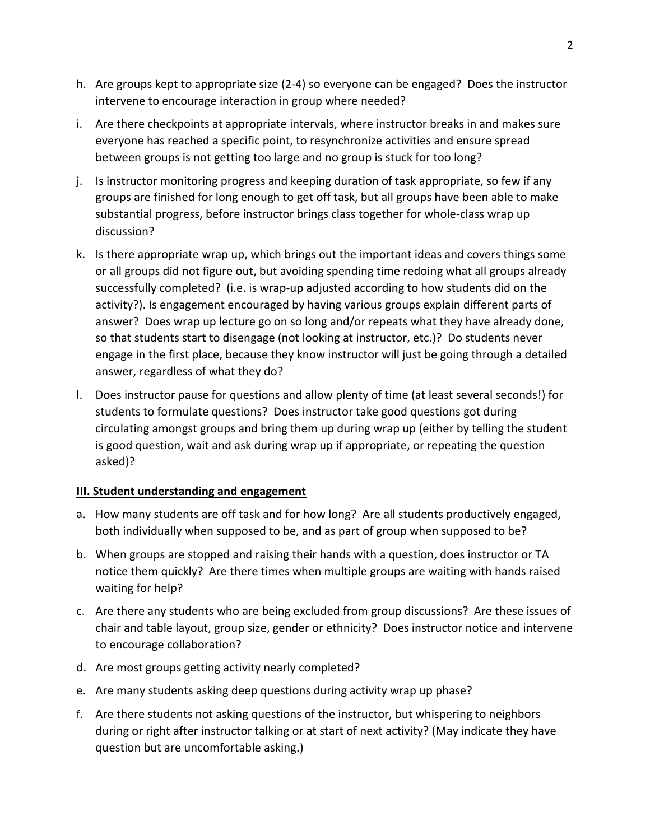- h. Are groups kept to appropriate size (2-4) so everyone can be engaged? Does the instructor intervene to encourage interaction in group where needed?
- i. Are there checkpoints at appropriate intervals, where instructor breaks in and makes sure everyone has reached a specific point, to resynchronize activities and ensure spread between groups is not getting too large and no group is stuck for too long?
- j. Is instructor monitoring progress and keeping duration of task appropriate, so few if any groups are finished for long enough to get off task, but all groups have been able to make substantial progress, before instructor brings class together for whole-class wrap up discussion?
- k. Is there appropriate wrap up, which brings out the important ideas and covers things some or all groups did not figure out, but avoiding spending time redoing what all groups already successfully completed? (i.e. is wrap-up adjusted according to how students did on the activity?). Is engagement encouraged by having various groups explain different parts of answer? Does wrap up lecture go on so long and/or repeats what they have already done, so that students start to disengage (not looking at instructor, etc.)? Do students never engage in the first place, because they know instructor will just be going through a detailed answer, regardless of what they do?
- l. Does instructor pause for questions and allow plenty of time (at least several seconds!) for students to formulate questions? Does instructor take good questions got during circulating amongst groups and bring them up during wrap up (either by telling the student is good question, wait and ask during wrap up if appropriate, or repeating the question asked)?

### **III. Student understanding and engagement**

- a. How many students are off task and for how long? Are all students productively engaged, both individually when supposed to be, and as part of group when supposed to be?
- b. When groups are stopped and raising their hands with a question, does instructor or TA notice them quickly? Are there times when multiple groups are waiting with hands raised waiting for help?
- c. Are there any students who are being excluded from group discussions? Are these issues of chair and table layout, group size, gender or ethnicity? Does instructor notice and intervene to encourage collaboration?
- d. Are most groups getting activity nearly completed?
- e. Are many students asking deep questions during activity wrap up phase?
- f. Are there students not asking questions of the instructor, but whispering to neighbors during or right after instructor talking or at start of next activity? (May indicate they have question but are uncomfortable asking.)